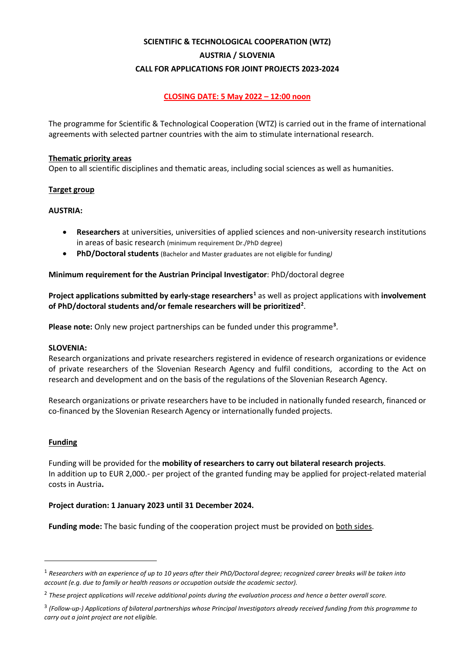# **SCIENTIFIC & TECHNOLOGICAL COOPERATION (WTZ) AUSTRIA / SLOVENIA CALL FOR APPLICATIONS FOR JOINT PROJECTS 2023-2024**

# **CLOSING DATE: 5 May 2022 – 12:00 noon**

The programme for Scientific & Technological Cooperation (WTZ) is carried out in the frame of international agreements with selected partner countries with the aim to stimulate international research.

#### **Thematic priority areas**

Open to all scientific disciplines and thematic areas, including social sciences as well as humanities.

## **Target group**

## **AUSTRIA:**

- **Researchers** at universities, universities of applied sciences and non-university research institutions in areas of basic research (minimum requirement Dr./PhD degree)
- **PhD/Doctoral students** (Bachelor and Master graduates are not eligible for funding*)*

## **Minimum requirement for the Austrian Principal Investigator**: PhD/doctoral degree

**Project applications submitted by early-stage researchers[1](#page-0-0)** as well as project applications with **involvement of PhD/doctoral students and/or female researchers will be prioritized[2](#page-0-1)** .

**Please note:** Only new project partnerships can be funded under this programme**[3](#page-0-2)** .

#### **SLOVENIA:**

Research organizations and private researchers registered in evidence of research organizations or evidence of private researchers of the Slovenian Research Agency and fulfil conditions, according to the Act on research and development and on the basis of the regulations of the Slovenian Research Agency.

Research organizations or private researchers have to be included in nationally funded research, financed or co-financed by the Slovenian Research Agency or internationally funded projects.

## **Funding**

Funding will be provided for the **mobility of researchers to carry out bilateral research projects**. In addition up to EUR 2,000.- per project of the granted funding may be applied for project-related material costs in Austria**.**

#### **Project duration: 1 January 2023 until 31 December 2024.**

**Funding mode:** The basic funding of the cooperation project must be provided on both sides.

<span id="page-0-0"></span><sup>1</sup> *Researchers with an experience of up to 10 years after their PhD/Doctoral degree; recognized career breaks will be taken into account (e.g. due to family or health reasons or occupation outside the academic sector).*

<span id="page-0-1"></span><sup>2</sup> *These project applications will receive additional points during the evaluation process and hence a better overall score.*

<span id="page-0-2"></span><sup>3</sup> *(Follow-up-) Applications of bilateral partnerships whose Principal Investigators already received funding from this programme to carry out a joint project are not eligible.*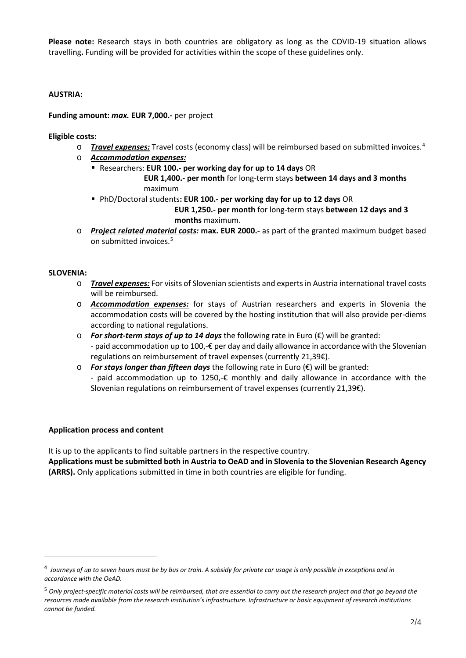**Please note:** Research stays in both countries are obligatory as long as the COVID-19 situation allows travelling**.** Funding will be provided for activities within the scope of these guidelines only.

### **AUSTRIA:**

### **Funding amount:** *max.* **EUR 7,000.-** per project

### **Eligible costs:**

- o *Travel expenses:* Travel costs (economy class) will be reimbursed based on submitted invoices.[4](#page-1-0)
- o *Accommodation expenses:*
	- Researchers: **EUR 100.- per working day for up to 14 days** OR  **EUR 1,400.- per month** for long-term stays **between 14 days and 3 months** maximum
	- PhD/Doctoral students**: EUR 100.- per working day for up to 12 days** OR  **EUR 1,250.- per month** for long-term stays **between 12 days and 3**

 **months** maximum.

o *Project related material costs:* **max. EUR 2000.-** as part of the granted maximum budget based on submitted invoices.<sup>[5](#page-1-1)</sup>

#### **SLOVENIA:**

- o *Travel expenses:* For visits of Slovenian scientists and experts in Austria international travel costs will be reimbursed.
- o *Accommodation expenses:* for stays of Austrian researchers and experts in Slovenia the accommodation costs will be covered by the hosting institution that will also provide per-diems according to national regulations.
- o *For short-term stays of up to 14 days* the following rate in Euro (€) will be granted: - paid accommodation up to 100,-€ per day and daily allowance in accordance with the Slovenian regulations on reimbursement of travel expenses (currently 21,39€).
- o *For stays longer than fifteen days* the following rate in Euro (€) will be granted: - paid accommodation up to 1250, $-\epsilon$  monthly and daily allowance in accordance with the Slovenian regulations on reimbursement of travel expenses (currently 21,39€).

#### **Application process and content**

It is up to the applicants to find suitable partners in the respective country.

**Applications must be submitted both in Austria to OeAD and in Slovenia to the Slovenian Research Agency (ARRS).** Only applications submitted in time in both countries are eligible for funding.

<span id="page-1-0"></span><sup>4</sup> *Journeys of up to seven hours must be by bus or train. A subsidy for private car usage is only possible in exceptions and in accordance with the OeAD.*

<span id="page-1-1"></span><sup>5</sup> *Only project-specific material costs will be reimbursed, that are essential to carry out the research project and that go beyond the resources made available from the research institution's infrastructure. Infrastructure or basic equipment of research institutions cannot be funded.*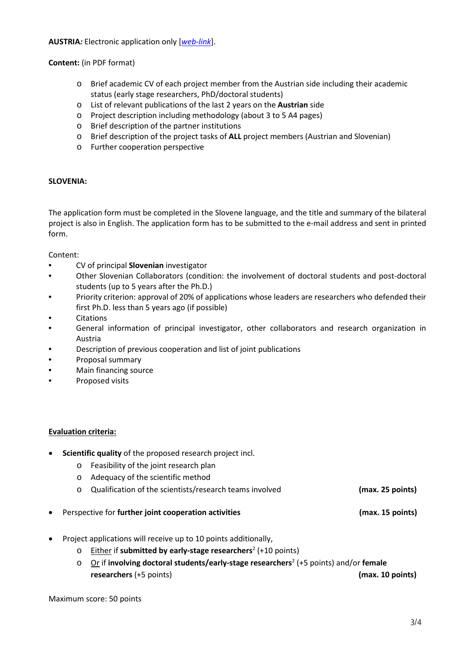**AUSTRIA***:* Electronic application only [*[web-link](https://asp.sop.co.at/oead/antrag?call=2023_SI)*].

## **Content:** (in PDF format)

- o Brief academic CV of each project member from the Austrian side including their academic status (early stage researchers, PhD/doctoral students)
- o List of relevant publications of the last 2 years on the **Austrian** side
- o Project description including methodology (about 3 to 5 A4 pages)
- o Brief description of the partner institutions
- o Brief description of the project tasks of **ALL** project members (Austrian and Slovenian)
- o Further cooperation perspective

#### **SLOVENIA:**

The application form must be completed in the Slovene language, and the title and summary of the bilateral project is also in English. The application form has to be submitted to the e-mail address and sent in printed form.

Content:

- CV of principal **Slovenian** investigator
- Other Slovenian Collaborators (condition: the involvement of doctoral students and post-doctoral students (up to 5 years after the Ph.D.)
- Priority criterion: approval of 20% of applications whose leaders are researchers who defended their first Ph.D. less than 5 years ago (if possible)
- **Citations**
- General information of principal investigator, other collaborators and research organization in Austria
- Description of previous cooperation and list of joint publications
- Proposal summary
- Main financing source
- Proposed visits

#### **Evaluation criteria:**

- **Scientific quality** of the proposed research project incl.
	- o Feasibility of the joint research plan
	- o Adequacy of the scientific method
	- o Qualification of the scientists/research teams involved **(max. 25 points)**
- Perspective for **further joint cooperation activities (max. 15 points)**
- Project applications will receive up to 10 points additionally,
	- o Either if **submitted by early-stage researchers**<sup>2</sup> (+10 points)
	- o Or if **involving doctoral students/early-stage researchers**<sup>2</sup> (+5 points) and/or **female researchers** (+5 points) **(max. 10 points)**

Maximum score: 50 points